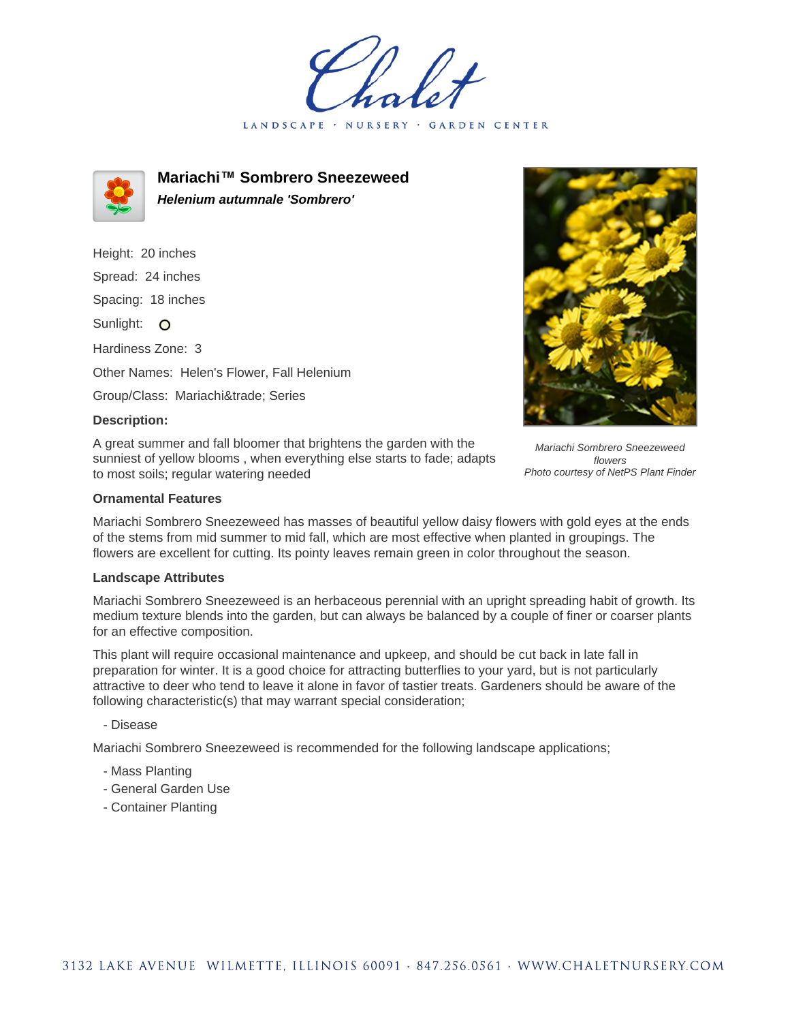LANDSCAPE · GARDEN CENTER



**Mariachi™ Sombrero Sneezeweed Helenium autumnale 'Sombrero'**

Height: 20 inches Spread: 24 inches Spacing: 18 inches Sunlight: O Hardiness Zone: 3 Other Names: Helen's Flower, Fall Helenium Group/Class: Mariachi™ Series

## **Description:**

A great summer and fall bloomer that brightens the garden with the sunniest of yellow blooms , when everything else starts to fade; adapts to most soils; regular watering needed



Mariachi Sombrero Sneezeweed flowers Photo courtesy of NetPS Plant Finder

## **Ornamental Features**

Mariachi Sombrero Sneezeweed has masses of beautiful yellow daisy flowers with gold eyes at the ends of the stems from mid summer to mid fall, which are most effective when planted in groupings. The flowers are excellent for cutting. Its pointy leaves remain green in color throughout the season.

## **Landscape Attributes**

Mariachi Sombrero Sneezeweed is an herbaceous perennial with an upright spreading habit of growth. Its medium texture blends into the garden, but can always be balanced by a couple of finer or coarser plants for an effective composition.

This plant will require occasional maintenance and upkeep, and should be cut back in late fall in preparation for winter. It is a good choice for attracting butterflies to your yard, but is not particularly attractive to deer who tend to leave it alone in favor of tastier treats. Gardeners should be aware of the following characteristic(s) that may warrant special consideration;

- Disease

Mariachi Sombrero Sneezeweed is recommended for the following landscape applications;

- Mass Planting
- General Garden Use
- Container Planting